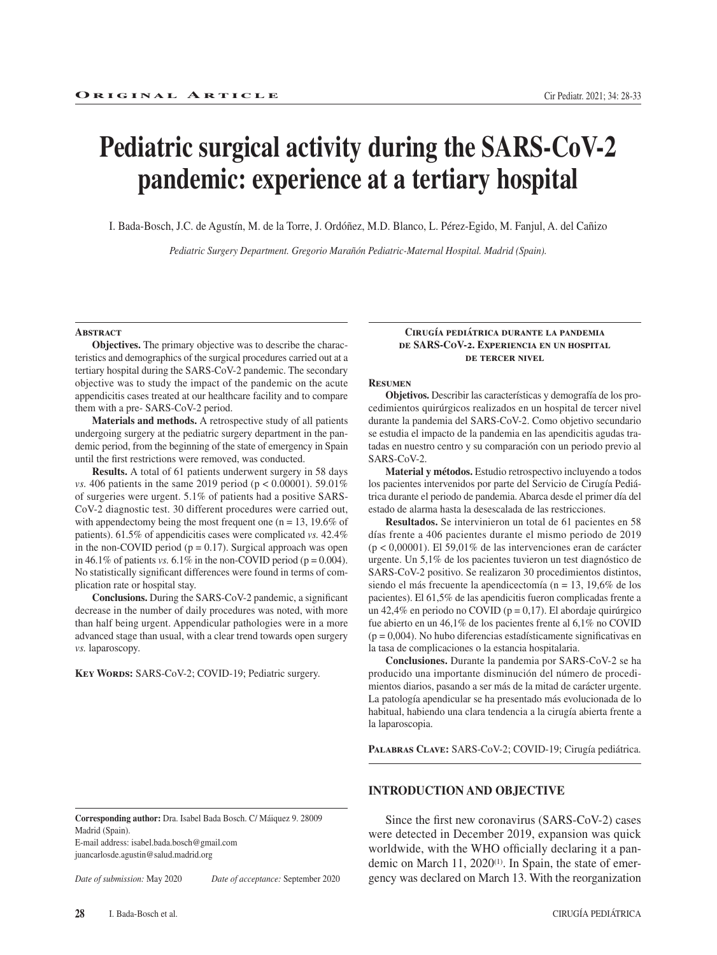# **Pediatric surgical activity during the SARS-CoV-2 pandemic: experience at a tertiary hospital**

I. Bada-Bosch, J.C. de Agustín, M. de la Torre, J. Ordóñez, M.D. Blanco, L. Pérez-Egido, M. Fanjul, A. del Cañizo

*Pediatric Surgery Department. Gregorio Marañón Pediatric-Maternal Hospital. Madrid (Spain).*

#### **Abstract**

**Objectives.** The primary objective was to describe the characteristics and demographics of the surgical procedures carried out at a tertiary hospital during the SARS-CoV-2 pandemic. The secondary objective was to study the impact of the pandemic on the acute appendicitis cases treated at our healthcare facility and to compare them with a pre- SARS-CoV-2 period.

**Materials and methods.** A retrospective study of all patients undergoing surgery at the pediatric surgery department in the pandemic period, from the beginning of the state of emergency in Spain until the first restrictions were removed, was conducted.

**Results.** A total of 61 patients underwent surgery in 58 days *vs.* 406 patients in the same 2019 period ( $p < 0.00001$ ). 59.01% of surgeries were urgent. 5.1% of patients had a positive SARS-CoV-2 diagnostic test. 30 different procedures were carried out, with appendectomy being the most frequent one ( $n = 13$ , 19.6% of patients). 61.5% of appendicitis cases were complicated *vs.* 42.4% in the non-COVID period  $(p = 0.17)$ . Surgical approach was open in 46.1% of patients *vs.* 6.1% in the non-COVID period ( $p = 0.004$ ). No statistically significant differences were found in terms of complication rate or hospital stay.

**Conclusions.** During the SARS-CoV-2 pandemic, a significant decrease in the number of daily procedures was noted, with more than half being urgent. Appendicular pathologies were in a more advanced stage than usual, with a clear trend towards open surgery *vs.* laparoscopy.

**Key Words:** SARS-CoV-2; COVID-19; Pediatric surgery.

**Corresponding author:** Dra. Isabel Bada Bosch. C/ Máiquez 9. 28009

#### **Cirugía pediátrica durante la pandemia de SARS-CoV-2. Experiencia en un hospital de tercer nivel**

#### **Resumen**

**Objetivos.** Describir las características y demografía de los procedimientos quirúrgicos realizados en un hospital de tercer nivel durante la pandemia del SARS-CoV-2. Como objetivo secundario se estudia el impacto de la pandemia en las apendicitis agudas tratadas en nuestro centro y su comparación con un periodo previo al SARS-CoV-2.

**Material y métodos.** Estudio retrospectivo incluyendo a todos los pacientes intervenidos por parte del Servicio de Cirugía Pediátrica durante el periodo de pandemia. Abarca desde el primer día del estado de alarma hasta la desescalada de las restricciones.

**Resultados.** Se intervinieron un total de 61 pacientes en 58 días frente a 406 pacientes durante el mismo periodo de 2019 (p < 0,00001). El 59,01% de las intervenciones eran de carácter urgente. Un 5,1% de los pacientes tuvieron un test diagnóstico de SARS-CoV-2 positivo. Se realizaron 30 procedimientos distintos, siendo el más frecuente la apendicectomía (n = 13, 19,6% de los pacientes). El 61,5% de las apendicitis fueron complicadas frente a un 42,4% en periodo no COVID ( $p = 0,17$ ). El abordaje quirúrgico fue abierto en un 46,1% de los pacientes frente al 6,1% no COVID  $(p = 0.004)$ . No hubo diferencias estadísticamente significativas en la tasa de complicaciones o la estancia hospitalaria.

**Conclusiones.** Durante la pandemia por SARS-CoV-2 se ha producido una importante disminución del número de procedimientos diarios, pasando a ser más de la mitad de carácter urgente. La patología apendicular se ha presentado más evolucionada de lo habitual, habiendo una clara tendencia a la cirugía abierta frente a la laparoscopia.

**Palabras Clave:** SARS-CoV-2; COVID-19; Cirugía pediátrica.

# **INTRODUCTION AND OBJECTIVE**

Since the first new coronavirus (SARS-CoV-2) cases were detected in December 2019, expansion was quick worldwide, with the WHO officially declaring it a pandemic on March 11, 2020<sup>(1)</sup>. In Spain, the state of emergency was declared on March 13. With the reorganization

E-mail address: isabel.bada.bosch@gmail.com juancarlosde.agustin@salud.madrid.org

Madrid (Spain).

*Date of submission:* May 2020 *Date of acceptance:* September 2020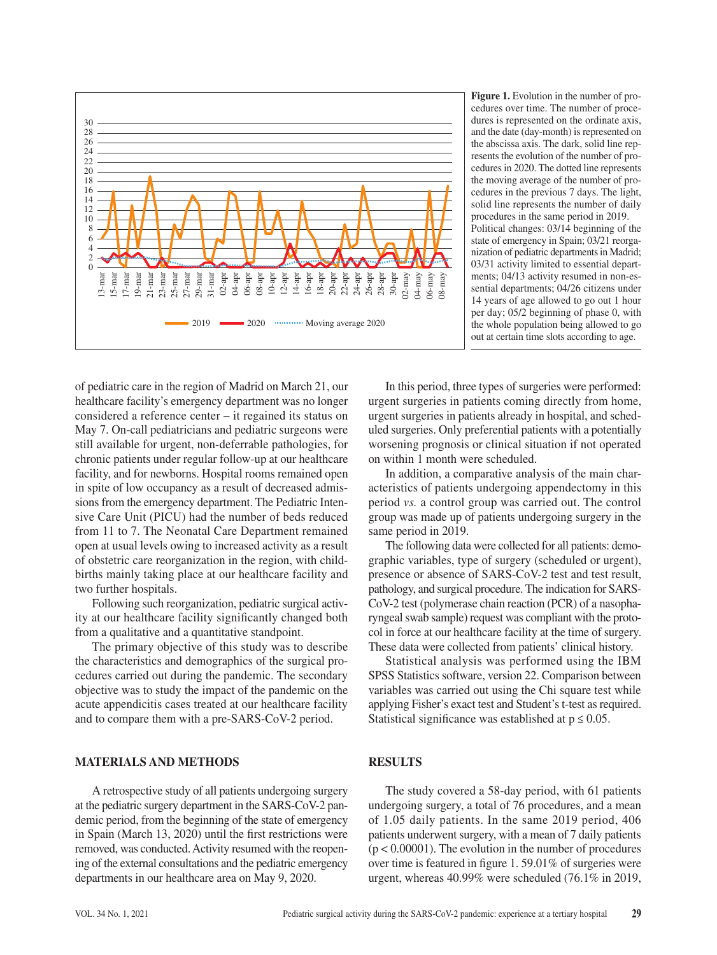

**Figure 1.** Evolution in the number of procedures over time. The number of procedures is represented on the ordinate axis, and the date (day-month) is represented on the abscissa axis. The dark, solid line represents the evolution of the number of procedures in 2020. The dotted line represents the moving average of the number of procedures in the previous 7 days. The light, solid line represents the number of daily procedures in the same period in 2019. Political changes: 03/14 beginning of the state of emergency in Spain; 03/21 reorganization of pediatric departments in Madrid; 03/31 activity limited to essential departments; 04/13 activity resumed in non-essential departments; 04/26 citizens under 14 years of age allowed to go out 1 hour per day; 05/2 beginning of phase 0, with the whole population being allowed to go out at certain time slots according to age.

of pediatric care in the region of Madrid on March 21, our healthcare facility's emergency department was no longer considered a reference center – it regained its status on May 7. On-call pediatricians and pediatric surgeons were still available for urgent, non-deferrable pathologies, for chronic patients under regular follow-up at our healthcare facility, and for newborns. Hospital rooms remained open in spite of low occupancy as a result of decreased admissions from the emergency department. The Pediatric Intensive Care Unit (PICU) had the number of beds reduced from 11 to 7. The Neonatal Care Department remained open at usual levels owing to increased activity as a result of obstetric care reorganization in the region, with childbirths mainly taking place at our healthcare facility and two further hospitals.

Following such reorganization, pediatric surgical activity at our healthcare facility significantly changed both from a qualitative and a quantitative standpoint.

The primary objective of this study was to describe the characteristics and demographics of the surgical procedures carried out during the pandemic. The secondary objective was to study the impact of the pandemic on the acute appendicitis cases treated at our healthcare facility and to compare them with a pre-SARS-CoV-2 period.

## **MATERIALS AND METHODS**

A retrospective study of all patients undergoing surgery at the pediatric surgery department in the SARS-CoV-2 pandemic period, from the beginning of the state of emergency in Spain (March 13, 2020) until the first restrictions were removed, was conducted. Activity resumed with the reopening of the external consultations and the pediatric emergency departments in our healthcare area on May 9, 2020.

In this period, three types of surgeries were performed: urgent surgeries in patients coming directly from home, urgent surgeries in patients already in hospital, and scheduled surgeries. Only preferential patients with a potentially worsening prognosis or clinical situation if not operated on within 1 month were scheduled.

In addition, a comparative analysis of the main characteristics of patients undergoing appendectomy in this period *vs.* a control group was carried out. The control group was made up of patients undergoing surgery in the same period in 2019.

The following data were collected for all patients: demographic variables, type of surgery (scheduled or urgent), presence or absence of SARS-CoV-2 test and test result, pathology, and surgical procedure. The indication for SARS-CoV-2 test (polymerase chain reaction (PCR) of a nasopharyngeal swab sample) request was compliant with the protocol in force at our healthcare facility at the time of surgery. These data were collected from patients' clinical history.

Statistical analysis was performed using the IBM SPSS Statistics software, version 22. Comparison between variables was carried out using the Chi square test while applying Fisher's exact test and Student's t-test as required. Statistical significance was established at  $p \le 0.05$ .

# **RESULTS**

The study covered a 58-day period, with 61 patients undergoing surgery, a total of 76 procedures, and a mean of 1.05 daily patients. In the same 2019 period, 406 patients underwent surgery, with a mean of 7 daily patients  $(p < 0.00001)$ . The evolution in the number of procedures over time is featured in figure 1. 59.01% of surgeries were urgent, whereas 40.99% were scheduled (76.1% in 2019,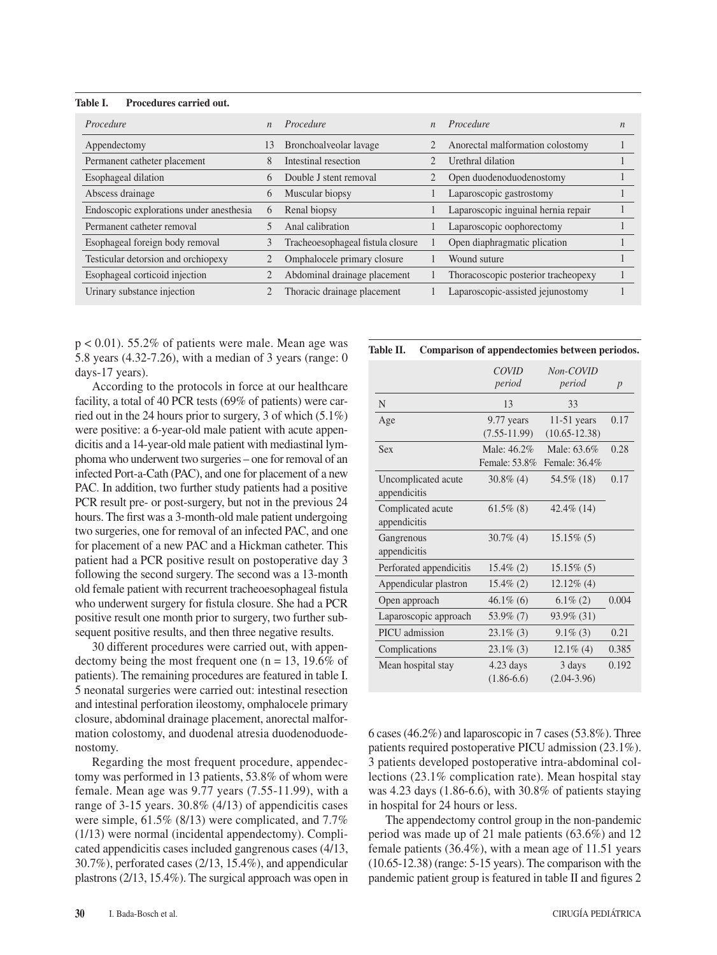| Table I. | Procedures carried out. |
|----------|-------------------------|
|          |                         |

| Procedure                                | $\mathbf{n}$   | Procedure                         | $\mathbf{n}$ | Procedure                           | n |
|------------------------------------------|----------------|-----------------------------------|--------------|-------------------------------------|---|
| Appendectomy                             | 13             | Bronchoalveolar lavage            |              | Anorectal malformation colostomy    |   |
| Permanent catheter placement             | 8              | Intestinal resection              |              | Urethral dilation                   |   |
| Esophageal dilation                      | 6              | Double J stent removal            |              | Open duodenoduodenostomy            |   |
| Abscess drainage                         | 6              | Muscular biopsy                   |              | Laparoscopic gastrostomy            |   |
| Endoscopic explorations under anesthesia | $\mathfrak{h}$ | Renal biopsy                      |              | Laparoscopic inguinal hernia repair |   |
| Permanent catheter removal               |                | Anal calibration                  |              | Laparoscopic oophorectomy           |   |
| Esophageal foreign body removal          | 3              | Tracheoesophageal fistula closure |              | Open diaphragmatic plication        |   |
| Testicular detorsion and orchiopexy      | 2              | Omphalocele primary closure       |              | Wound suture                        |   |
| Esophageal corticoid injection           |                | Abdominal drainage placement      |              | Thoracoscopic posterior tracheopexy |   |
| Urinary substance injection              |                | Thoracic drainage placement       |              | Laparoscopic-assisted jejunostomy   |   |

 $p < 0.01$ ). 55.2% of patients were male. Mean age was 5.8 years (4.32-7.26), with a median of 3 years (range: 0 days-17 years).

According to the protocols in force at our healthcare facility, a total of 40 PCR tests (69% of patients) were carried out in the 24 hours prior to surgery, 3 of which (5.1%) were positive: a 6-year-old male patient with acute appendicitis and a 14-year-old male patient with mediastinal lymphoma who underwent two surgeries – one for removal of an infected Port-a-Cath (PAC), and one for placement of a new PAC. In addition, two further study patients had a positive PCR result pre- or post-surgery, but not in the previous 24 hours. The first was a 3-month-old male patient undergoing two surgeries, one for removal of an infected PAC, and one for placement of a new PAC and a Hickman catheter. This patient had a PCR positive result on postoperative day 3 following the second surgery. The second was a 13-month old female patient with recurrent tracheoesophageal fistula who underwent surgery for fistula closure. She had a PCR positive result one month prior to surgery, two further subsequent positive results, and then three negative results.

30 different procedures were carried out, with appendectomy being the most frequent one ( $n = 13$ , 19.6% of patients). The remaining procedures are featured in table I. 5 neonatal surgeries were carried out: intestinal resection and intestinal perforation ileostomy, omphalocele primary closure, abdominal drainage placement, anorectal malformation colostomy, and duodenal atresia duodenoduodenostomy.

Regarding the most frequent procedure, appendectomy was performed in 13 patients, 53.8% of whom were female. Mean age was 9.77 years (7.55-11.99), with a range of 3-15 years. 30.8% (4/13) of appendicitis cases were simple, 61.5% (8/13) were complicated, and 7.7% (1/13) were normal (incidental appendectomy). Complicated appendicitis cases included gangrenous cases (4/13, 30.7%), perforated cases (2/13, 15.4%), and appendicular plastrons (2/13, 15.4%). The surgical approach was open in

#### **Table II. Comparison of appendectomies between periodos.**

|                                     | <b>COVID</b><br>period       | Non-COVID<br>period                | p     |
|-------------------------------------|------------------------------|------------------------------------|-------|
| N                                   | 13                           | 33                                 |       |
| Age                                 | 9.77 years<br>$(7.55-11.99)$ | $11-51$ years<br>$(10.65 - 12.38)$ | 0.17  |
| <b>Sex</b>                          | Male: 46.2%<br>Female: 53.8% | Male: 63.6%<br>Female: 36.4%       | 0.28  |
| Uncomplicated acute<br>appendicitis | $30.8\%$ (4)                 | 54.5% (18)                         | 0.17  |
| Complicated acute<br>appendicitis   | $61.5\%$ (8)                 | 42.4\% (14)                        |       |
| Gangrenous<br>appendicitis          | $30.7\%$ (4)                 | $15.15\%$ (5)                      |       |
| Perforated appendicitis             | $15.4\%$ (2)                 | $15.15\%$ (5)                      |       |
| Appendicular plastron               | $15.4\%$ (2)                 | $12.12\%$ (4)                      |       |
| Open approach                       | $46.1\%$ (6)                 | $6.1\% (2)$                        | 0.004 |
| Laparoscopic approach               | 53.9% (7)                    | 93.9% (31)                         |       |
| PICU admission                      | $23.1\%$ (3)                 | $9.1\%$ (3)                        | 0.21  |
| Complications                       | $23.1\%$ (3)                 | $12.1\%$ (4)                       | 0.385 |
| Mean hospital stay                  | $4.23$ days<br>$(1.86-6.6)$  | 3 days<br>$(2.04 - 3.96)$          | 0.192 |

6 cases (46.2%) and laparoscopic in 7 cases (53.8%). Three patients required postoperative PICU admission (23.1%). 3 patients developed postoperative intra-abdominal collections (23.1% complication rate). Mean hospital stay was 4.23 days (1.86-6.6), with 30.8% of patients staying in hospital for 24 hours or less.

The appendectomy control group in the non-pandemic period was made up of 21 male patients (63.6%) and 12 female patients (36.4%), with a mean age of 11.51 years (10.65-12.38) (range: 5-15 years). The comparison with the pandemic patient group is featured in table II and figures 2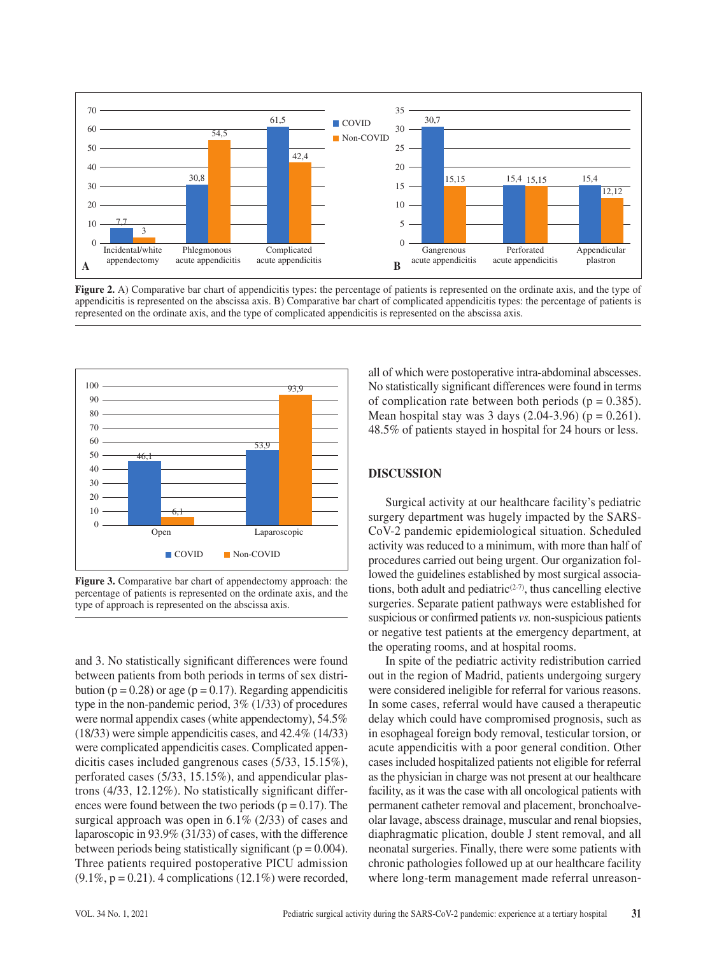

**Figure 2.** A) Comparative bar chart of appendicitis types: the percentage of patients is represented on the ordinate axis, and the type of appendicitis is represented on the abscissa axis. B) Comparative bar chart of complicated appendicitis types: the percentage of patients is represented on the ordinate axis, and the type of complicated appendicitis is represented on the abscissa axis.



**Figure 3.** Comparative bar chart of appendectomy approach: the percentage of patients is represented on the ordinate axis, and the type of approach is represented on the abscissa axis.

and 3. No statistically significant differences were found between patients from both periods in terms of sex distribution ( $p = 0.28$ ) or age ( $p = 0.17$ ). Regarding appendicitis type in the non-pandemic period, 3% (1/33) of procedures were normal appendix cases (white appendectomy), 54.5% (18/33) were simple appendicitis cases, and 42.4% (14/33) were complicated appendicitis cases. Complicated appendicitis cases included gangrenous cases (5/33, 15.15%), perforated cases (5/33, 15.15%), and appendicular plastrons (4/33, 12.12%). No statistically significant differences were found between the two periods ( $p = 0.17$ ). The surgical approach was open in 6.1% (2/33) of cases and laparoscopic in 93.9% (31/33) of cases, with the difference between periods being statistically significant ( $p = 0.004$ ). Three patients required postoperative PICU admission  $(9.1\%, p = 0.21)$ . 4 complications  $(12.1\%)$  were recorded, all of which were postoperative intra-abdominal abscesses. No statistically significant differences were found in terms of complication rate between both periods ( $p = 0.385$ ). Mean hospital stay was 3 days  $(2.04-3.96)$  (p = 0.261). 48.5% of patients stayed in hospital for 24 hours or less.

## **DISCUSSION**

Surgical activity at our healthcare facility's pediatric surgery department was hugely impacted by the SARS-CoV-2 pandemic epidemiological situation. Scheduled activity was reduced to a minimum, with more than half of procedures carried out being urgent. Our organization followed the guidelines established by most surgical associations, both adult and pediatric $(2-7)$ , thus cancelling elective surgeries. Separate patient pathways were established for suspicious or confirmed patients *vs.* non-suspicious patients or negative test patients at the emergency department, at the operating rooms, and at hospital rooms.

In spite of the pediatric activity redistribution carried out in the region of Madrid, patients undergoing surgery were considered ineligible for referral for various reasons. In some cases, referral would have caused a therapeutic delay which could have compromised prognosis, such as in esophageal foreign body removal, testicular torsion, or acute appendicitis with a poor general condition. Other cases included hospitalized patients not eligible for referral as the physician in charge was not present at our healthcare facility, as it was the case with all oncological patients with permanent catheter removal and placement, bronchoalveolar lavage, abscess drainage, muscular and renal biopsies, diaphragmatic plication, double J stent removal, and all neonatal surgeries. Finally, there were some patients with chronic pathologies followed up at our healthcare facility where long-term management made referral unreason-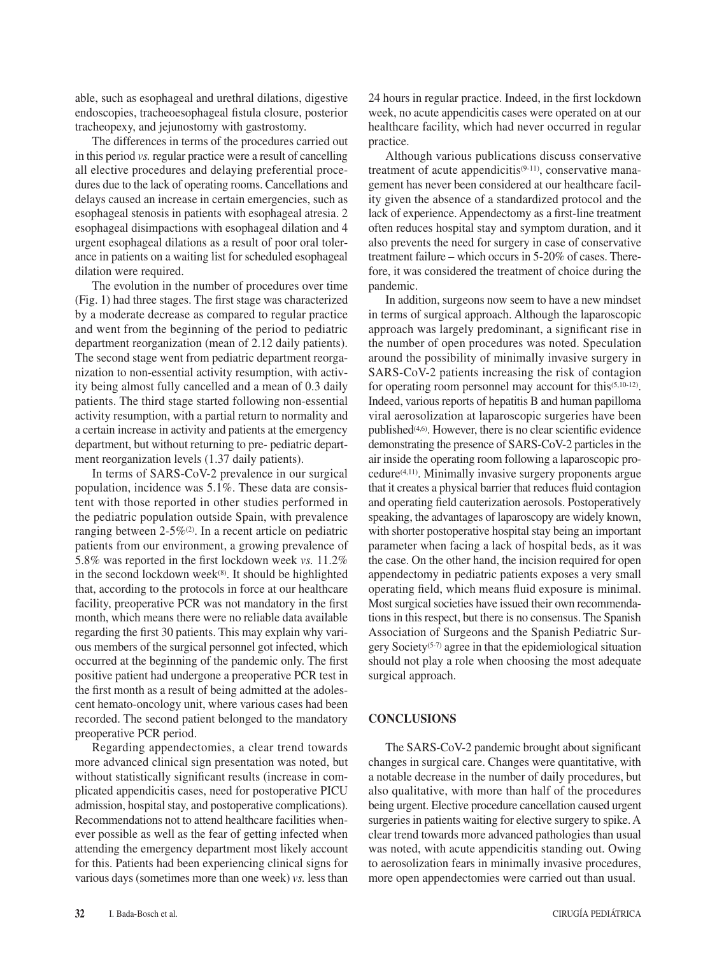able, such as esophageal and urethral dilations, digestive endoscopies, tracheoesophageal fistula closure, posterior tracheopexy, and jejunostomy with gastrostomy.

The differences in terms of the procedures carried out in this period *vs.* regular practice were a result of cancelling all elective procedures and delaying preferential procedures due to the lack of operating rooms. Cancellations and delays caused an increase in certain emergencies, such as esophageal stenosis in patients with esophageal atresia. 2 esophageal disimpactions with esophageal dilation and 4 urgent esophageal dilations as a result of poor oral tolerance in patients on a waiting list for scheduled esophageal dilation were required.

The evolution in the number of procedures over time (Fig. 1) had three stages. The first stage was characterized by a moderate decrease as compared to regular practice and went from the beginning of the period to pediatric department reorganization (mean of 2.12 daily patients). The second stage went from pediatric department reorganization to non-essential activity resumption, with activity being almost fully cancelled and a mean of 0.3 daily patients. The third stage started following non-essential activity resumption, with a partial return to normality and a certain increase in activity and patients at the emergency department, but without returning to pre- pediatric department reorganization levels (1.37 daily patients).

In terms of SARS-CoV-2 prevalence in our surgical population, incidence was 5.1%. These data are consistent with those reported in other studies performed in the pediatric population outside Spain, with prevalence ranging between  $2-5\%$ <sup>(2)</sup>. In a recent article on pediatric patients from our environment, a growing prevalence of 5.8% was reported in the first lockdown week *vs.* 11.2% in the second lockdown week<sup>(8)</sup>. It should be highlighted that, according to the protocols in force at our healthcare facility, preoperative PCR was not mandatory in the first month, which means there were no reliable data available regarding the first 30 patients. This may explain why various members of the surgical personnel got infected, which occurred at the beginning of the pandemic only. The first positive patient had undergone a preoperative PCR test in the first month as a result of being admitted at the adolescent hemato-oncology unit, where various cases had been recorded. The second patient belonged to the mandatory preoperative PCR period.

Regarding appendectomies, a clear trend towards more advanced clinical sign presentation was noted, but without statistically significant results (increase in complicated appendicitis cases, need for postoperative PICU admission, hospital stay, and postoperative complications). Recommendations not to attend healthcare facilities whenever possible as well as the fear of getting infected when attending the emergency department most likely account for this. Patients had been experiencing clinical signs for various days (sometimes more than one week) *vs.* less than 24 hours in regular practice. Indeed, in the first lockdown week, no acute appendicitis cases were operated on at our healthcare facility, which had never occurred in regular practice.

Although various publications discuss conservative treatment of acute appendicitis $(9-11)$ , conservative management has never been considered at our healthcare facility given the absence of a standardized protocol and the lack of experience. Appendectomy as a first-line treatment often reduces hospital stay and symptom duration, and it also prevents the need for surgery in case of conservative treatment failure – which occurs in 5-20% of cases. Therefore, it was considered the treatment of choice during the pandemic.

In addition, surgeons now seem to have a new mindset in terms of surgical approach. Although the laparoscopic approach was largely predominant, a significant rise in the number of open procedures was noted. Speculation around the possibility of minimally invasive surgery in SARS-CoV-2 patients increasing the risk of contagion for operating room personnel may account for this(5,10-12). Indeed, various reports of hepatitis B and human papilloma viral aerosolization at laparoscopic surgeries have been published $(4,6)$ . However, there is no clear scientific evidence demonstrating the presence of SARS-CoV-2 particles in the air inside the operating room following a laparoscopic procedure(4,11). Minimally invasive surgery proponents argue that it creates a physical barrier that reduces fluid contagion and operating field cauterization aerosols. Postoperatively speaking, the advantages of laparoscopy are widely known, with shorter postoperative hospital stay being an important parameter when facing a lack of hospital beds, as it was the case. On the other hand, the incision required for open appendectomy in pediatric patients exposes a very small operating field, which means fluid exposure is minimal. Most surgical societies have issued their own recommendations in this respect, but there is no consensus. The Spanish Association of Surgeons and the Spanish Pediatric Surgery Society(5-7) agree in that the epidemiological situation should not play a role when choosing the most adequate surgical approach.

### **CONCLUSIONS**

The SARS-CoV-2 pandemic brought about significant changes in surgical care. Changes were quantitative, with a notable decrease in the number of daily procedures, but also qualitative, with more than half of the procedures being urgent. Elective procedure cancellation caused urgent surgeries in patients waiting for elective surgery to spike. A clear trend towards more advanced pathologies than usual was noted, with acute appendicitis standing out. Owing to aerosolization fears in minimally invasive procedures, more open appendectomies were carried out than usual.